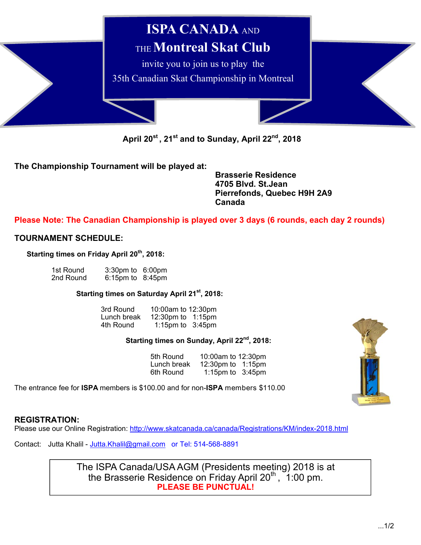

April 20<sup>st</sup>, 21<sup>st</sup> and to Sunday, April 22<sup>nd</sup>, 2018

**The Championship Tournament will be played at:** 

 **Brasserie Residence 4705 Blvd. St.Jean Pierrefonds, Quebec H9H 2A9 Canada** 

# **Please Note: The Canadian Championship is played over 3 days (6 rounds, each day 2 rounds)**

# **TOURNAMENT SCHEDULE:**

Starting times on Friday April 20<sup>th</sup>, 2018:

| 1st Round | $3:30 \text{pm}$ to $6:00 \text{pm}$ |  |
|-----------|--------------------------------------|--|
| 2nd Round | $6:15$ pm to $8:45$ pm               |  |

## **Starting times on Saturday April 21st, 2018:**

| 3rd Round   | 10:00am to 12:30pm  |
|-------------|---------------------|
| Lunch break | 12:30pm to 1:15pm   |
| 4th Round   | 1:15pm to $3:45$ pm |

## **Starting times on Sunday, April 22nd, 2018:**

| 5th Round   | 10:00am to 12:30pm   |  |
|-------------|----------------------|--|
| Lunch break | 12:30pm to 1:15pm    |  |
| 6th Round   | 1:15 pm to $3:45$ pm |  |

The entrance fee for **ISPA** members is \$100.00 and for non-**ISPA** members \$110.00



### **REGISTRATION:**

Please use our Online Registration: http://www.skatcanada.ca/canada/Registrations/KM/index-2018.html

Contact: Jutta Khalil - Jutta.Khalil@gmail.com or Tel: 514-568-8891

The ISPA Canada/USA AGM (Presidents meeting) 2018 is at the Brasserie Residence on Friday April  $20<sup>th</sup>$ , 1:00 pm. **PLEASE BE PUNCTUAL!**